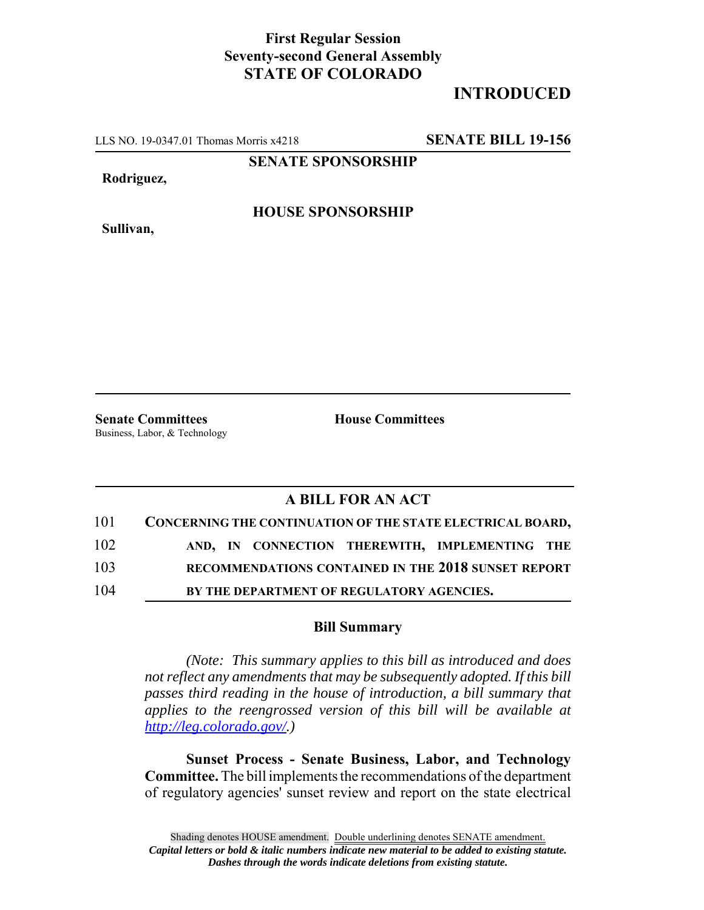## **First Regular Session Seventy-second General Assembly STATE OF COLORADO**

## **INTRODUCED**

LLS NO. 19-0347.01 Thomas Morris x4218 **SENATE BILL 19-156**

**SENATE SPONSORSHIP**

**Rodriguez,**

**Sullivan,**

**HOUSE SPONSORSHIP**

**Senate Committees House Committees** Business, Labor, & Technology

## **A BILL FOR AN ACT**

| 101 | CONCERNING THE CONTINUATION OF THE STATE ELECTRICAL BOARD, |
|-----|------------------------------------------------------------|
| 102 | AND, IN CONNECTION THEREWITH, IMPLEMENTING THE             |
| 103 | RECOMMENDATIONS CONTAINED IN THE 2018 SUNSET REPORT        |
| 104 | BY THE DEPARTMENT OF REGULATORY AGENCIES.                  |

## **Bill Summary**

*(Note: This summary applies to this bill as introduced and does not reflect any amendments that may be subsequently adopted. If this bill passes third reading in the house of introduction, a bill summary that applies to the reengrossed version of this bill will be available at http://leg.colorado.gov/.)*

**Sunset Process - Senate Business, Labor, and Technology Committee.** The bill implements the recommendations of the department of regulatory agencies' sunset review and report on the state electrical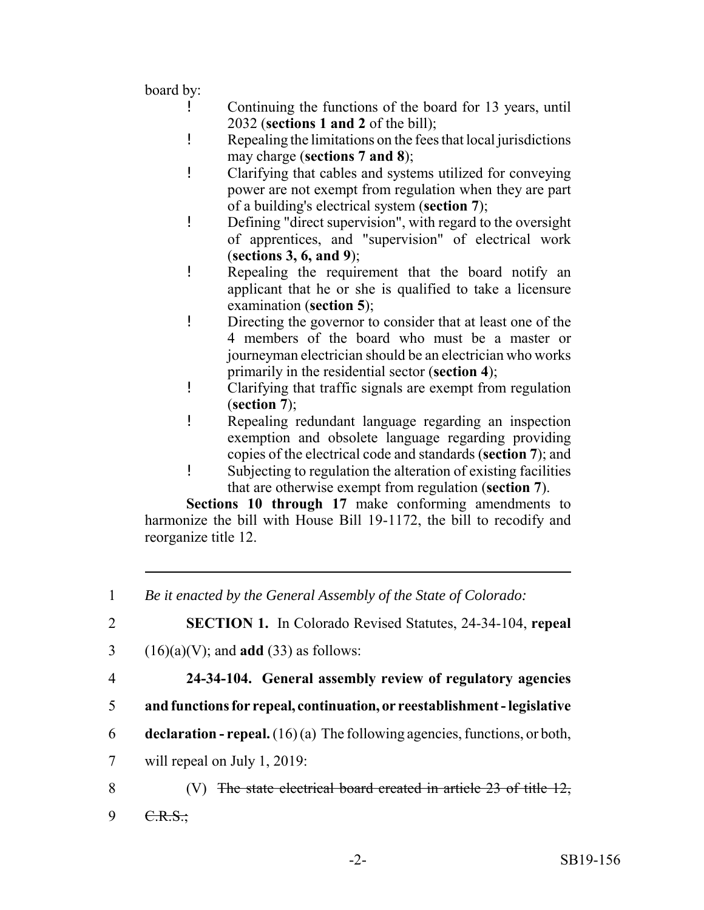board by:

- ! Continuing the functions of the board for 13 years, until 2032 (**sections 1 and 2** of the bill);
- ! Repealing the limitations on the fees that local jurisdictions may charge (**sections 7 and 8**);
- ! Clarifying that cables and systems utilized for conveying power are not exempt from regulation when they are part of a building's electrical system (**section 7**);
- ! Defining "direct supervision", with regard to the oversight of apprentices, and "supervision" of electrical work (**sections 3, 6, and 9**);
- ! Repealing the requirement that the board notify an applicant that he or she is qualified to take a licensure examination (**section 5**);
- ! Directing the governor to consider that at least one of the 4 members of the board who must be a master or journeyman electrician should be an electrician who works primarily in the residential sector (**section 4**);
- ! Clarifying that traffic signals are exempt from regulation (**section 7**);
- ! Repealing redundant language regarding an inspection exemption and obsolete language regarding providing copies of the electrical code and standards (**section 7**); and
- ! Subjecting to regulation the alteration of existing facilities that are otherwise exempt from regulation (**section 7**).

**Sections 10 through 17** make conforming amendments to harmonize the bill with House Bill 19-1172, the bill to recodify and reorganize title 12.

| 1              | Be it enacted by the General Assembly of the State of Colorado:                    |
|----------------|------------------------------------------------------------------------------------|
| $\overline{2}$ | <b>SECTION 1.</b> In Colorado Revised Statutes, 24-34-104, repeal                  |
| 3              | $(16)(a)(V)$ ; and <b>add</b> (33) as follows:                                     |
| 4              | 24-34-104. General assembly review of regulatory agencies                          |
| 5              | and functions for repeal, continuation, or reestablishment - legislative           |
| 6              | <b>declaration - repeal.</b> $(16)(a)$ The following agencies, functions, or both, |
| 7              | will repeal on July 1, 2019:                                                       |
| 8              | The state electrical board created in article $23$ of title $12$ ,                 |
| 9              |                                                                                    |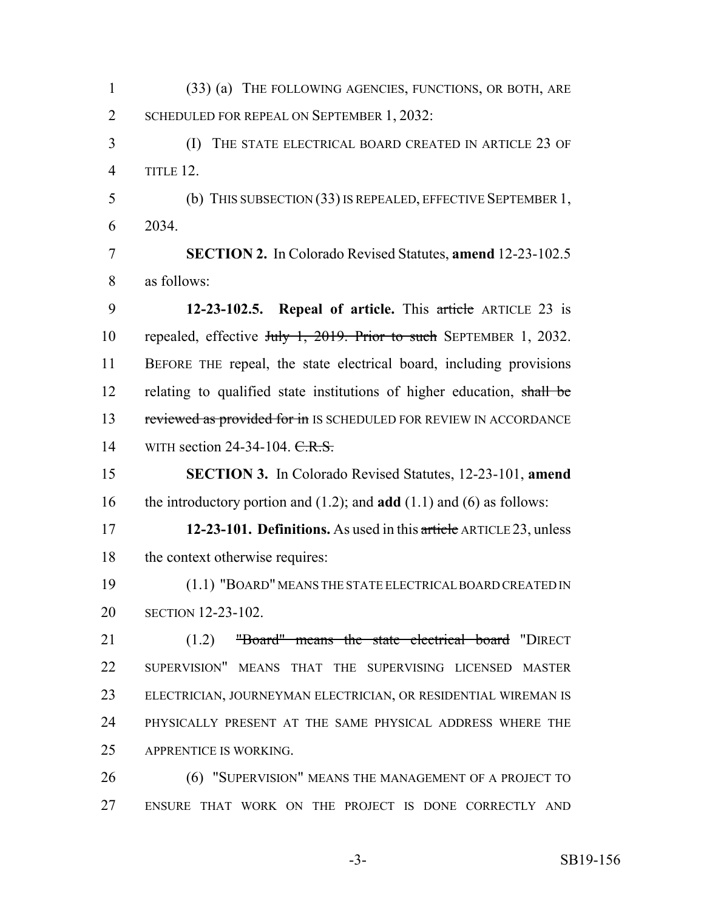(33) (a) THE FOLLOWING AGENCIES, FUNCTIONS, OR BOTH, ARE 2 SCHEDULED FOR REPEAL ON SEPTEMBER 1, 2032: (I) THE STATE ELECTRICAL BOARD CREATED IN ARTICLE 23 OF TITLE 12. (b) THIS SUBSECTION (33) IS REPEALED, EFFECTIVE SEPTEMBER 1, 2034. **SECTION 2.** In Colorado Revised Statutes, **amend** 12-23-102.5 as follows: **12-23-102.5. Repeal of article.** This article ARTICLE 23 is repealed, effective July 1, 2019. Prior to such SEPTEMBER 1, 2032. BEFORE THE repeal, the state electrical board, including provisions 12 relating to qualified state institutions of higher education, shall be 13 reviewed as provided for in IS SCHEDULED FOR REVIEW IN ACCORDANCE 14 WITH section 24-34-104. C.R.S. **SECTION 3.** In Colorado Revised Statutes, 12-23-101, **amend** the introductory portion and (1.2); and **add** (1.1) and (6) as follows: **12-23-101. Definitions.** As used in this article ARTICLE 23, unless 18 the context otherwise requires: (1.1) "BOARD" MEANS THE STATE ELECTRICAL BOARD CREATED IN SECTION 12-23-102. 21 (1.2) "Board" means the state electrical board "DIRECT SUPERVISION" MEANS THAT THE SUPERVISING LICENSED MASTER ELECTRICIAN, JOURNEYMAN ELECTRICIAN, OR RESIDENTIAL WIREMAN IS PHYSICALLY PRESENT AT THE SAME PHYSICAL ADDRESS WHERE THE APPRENTICE IS WORKING. **(6) "SUPERVISION" MEANS THE MANAGEMENT OF A PROJECT TO** ENSURE THAT WORK ON THE PROJECT IS DONE CORRECTLY AND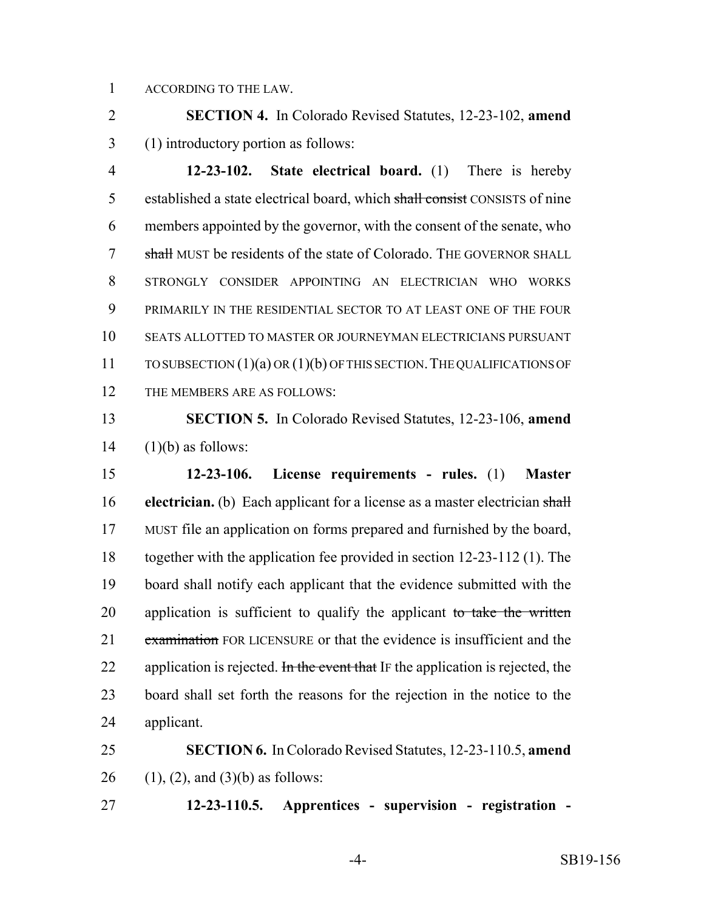ACCORDING TO THE LAW.

 **SECTION 4.** In Colorado Revised Statutes, 12-23-102, **amend** (1) introductory portion as follows:

 **12-23-102. State electrical board.** (1) There is hereby 5 established a state electrical board, which shall consist CONSISTS of nine members appointed by the governor, with the consent of the senate, who 7 shall MUST be residents of the state of Colorado. The GOVERNOR SHALL STRONGLY CONSIDER APPOINTING AN ELECTRICIAN WHO WORKS PRIMARILY IN THE RESIDENTIAL SECTOR TO AT LEAST ONE OF THE FOUR SEATS ALLOTTED TO MASTER OR JOURNEYMAN ELECTRICIANS PURSUANT TO SUBSECTION (1)(a) OR (1)(b) OF THIS SECTION.THE QUALIFICATIONS OF THE MEMBERS ARE AS FOLLOWS:

 **SECTION 5.** In Colorado Revised Statutes, 12-23-106, **amend** (1)(b) as follows:

 **12-23-106. License requirements - rules.** (1) **Master electrician.** (b) Each applicant for a license as a master electrician shall MUST file an application on forms prepared and furnished by the board, together with the application fee provided in section 12-23-112 (1). The board shall notify each applicant that the evidence submitted with the 20 application is sufficient to qualify the applicant to take the written 21 examination FOR LICENSURE or that the evidence is insufficient and the 22 application is rejected. In the event that IF the application is rejected, the board shall set forth the reasons for the rejection in the notice to the applicant.

 **SECTION 6.** In Colorado Revised Statutes, 12-23-110.5, **amend** 26 (1), (2), and (3)(b) as follows:

**12-23-110.5. Apprentices - supervision - registration -**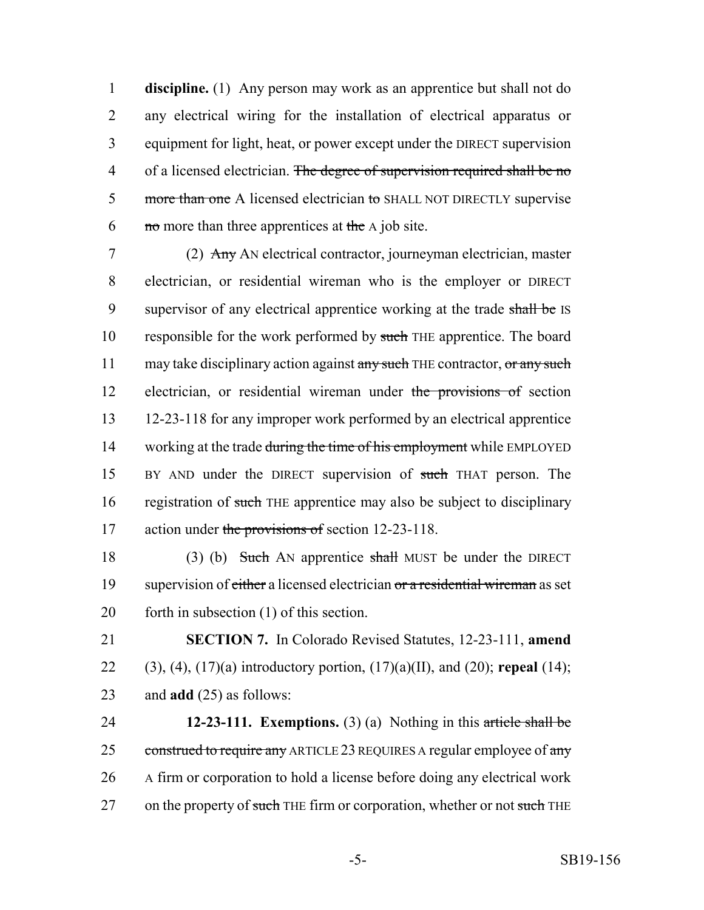**discipline.** (1) Any person may work as an apprentice but shall not do any electrical wiring for the installation of electrical apparatus or equipment for light, heat, or power except under the DIRECT supervision 4 of a licensed electrician. The degree of supervision required shall be no 5 more than one A licensed electrician to SHALL NOT DIRECTLY supervise  $\equiv$  no more than three apprentices at the A job site.

7 (2) Any AN electrical contractor, journeyman electrician, master 8 electrician, or residential wireman who is the employer or DIRECT 9 supervisor of any electrical apprentice working at the trade shall be IS 10 responsible for the work performed by such THE apprentice. The board 11 may take disciplinary action against any such THE contractor, or any such 12 electrician, or residential wireman under the provisions of section 13 12-23-118 for any improper work performed by an electrical apprentice 14 working at the trade during the time of his employment while EMPLOYED 15 BY AND under the DIRECT supervision of such THAT person. The 16 registration of such THE apprentice may also be subject to disciplinary 17 action under the provisions of section 12-23-118.

18 (3) (b) Such AN apprentice shall MUST be under the DIRECT 19 supervision of either a licensed electrician or a residential wireman as set 20 forth in subsection (1) of this section.

21 **SECTION 7.** In Colorado Revised Statutes, 12-23-111, **amend** 22 (3), (4), (17)(a) introductory portion, (17)(a)(II), and (20); **repeal** (14); 23 and **add** (25) as follows:

24 **12-23-111. Exemptions.** (3) (a) Nothing in this article shall be 25 construed to require any ARTICLE 23 REQUIRES A regular employee of any 26 A firm or corporation to hold a license before doing any electrical work 27 on the property of such THE firm or corporation, whether or not such THE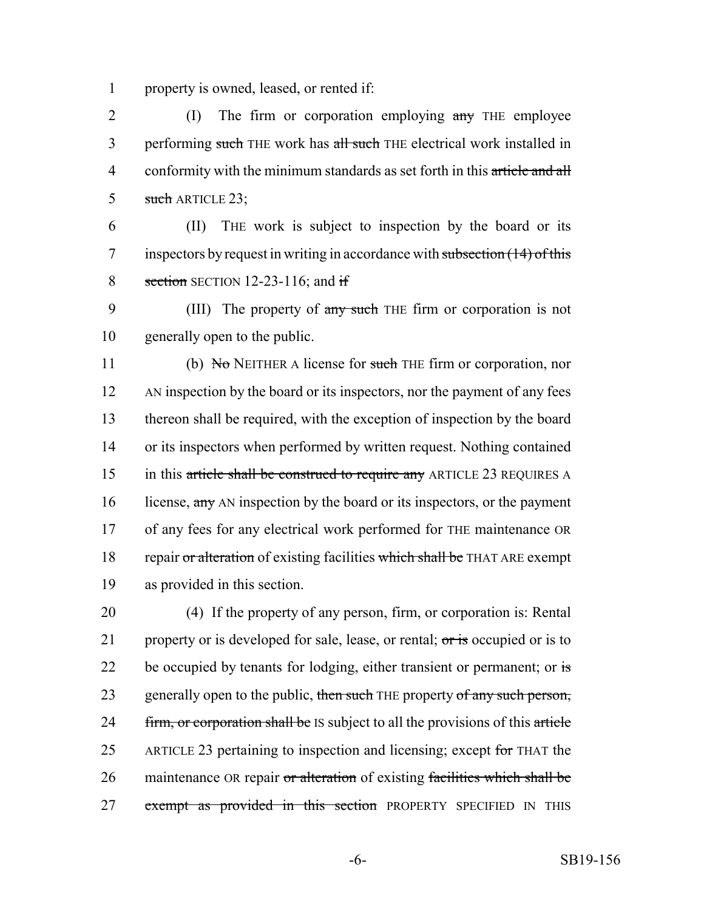1 property is owned, leased, or rented if:

2 (I) The firm or corporation employing any THE employee 3 performing such THE work has all such THE electrical work installed in 4 conformity with the minimum standards as set forth in this article and all 5 such ARTICLE 23;

6 (II) THE work is subject to inspection by the board or its 7 inspectors by request in writing in accordance with subsection (14) of this 8 section SECTION 12-23-116; and if

9 (III) The property of any such THE firm or corporation is not 10 generally open to the public.

11 (b) No NEITHER A license for such THE firm or corporation, nor 12 AN inspection by the board or its inspectors, nor the payment of any fees 13 thereon shall be required, with the exception of inspection by the board 14 or its inspectors when performed by written request. Nothing contained 15 in this article shall be construed to require any ARTICLE 23 REQUIRES A 16 license, any AN inspection by the board or its inspectors, or the payment 17 of any fees for any electrical work performed for THE maintenance OR 18 repair or alteration of existing facilities which shall be THAT ARE exempt 19 as provided in this section.

20 (4) If the property of any person, firm, or corporation is: Rental 21 property or is developed for sale, lease, or rental;  $\sigma r$  is occupied or is to 22 be occupied by tenants for lodging, either transient or permanent; or  $\overline{\text{is}}$ 23 generally open to the public, then such THE property of any such person, 24 firm, or corporation shall be IS subject to all the provisions of this article 25 ARTICLE 23 pertaining to inspection and licensing; except for THAT the 26 maintenance OR repair or alteration of existing facilities which shall be 27 exempt as provided in this section PROPERTY SPECIFIED IN THIS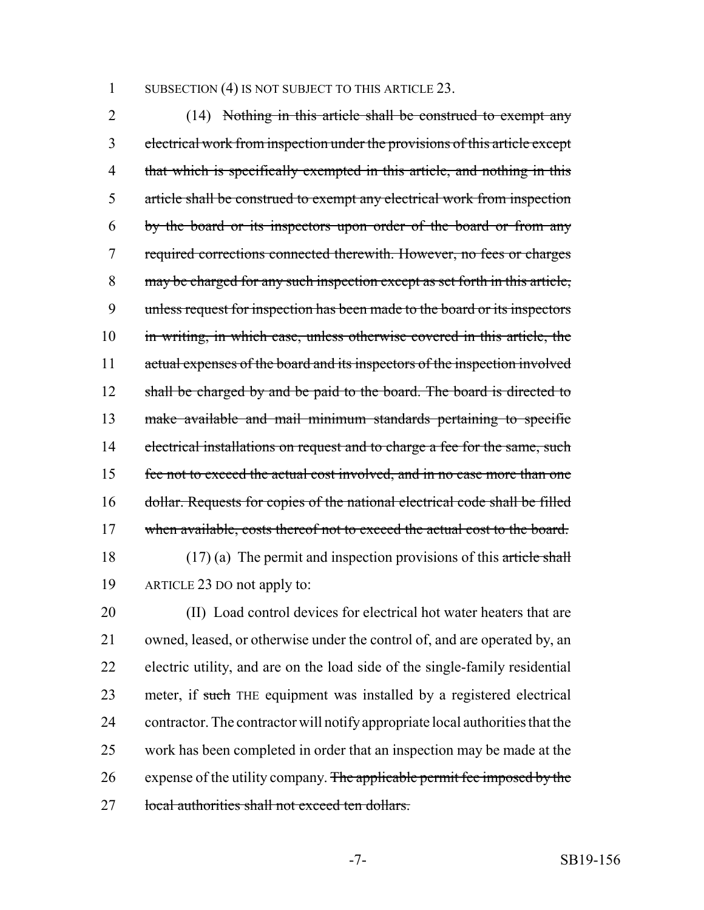1 SUBSECTION (4) IS NOT SUBJECT TO THIS ARTICLE 23.

 (14) Nothing in this article shall be construed to exempt any electrical work from inspection under the provisions of this article except 4 that which is specifically exempted in this article, and nothing in this article shall be construed to exempt any electrical work from inspection by the board or its inspectors upon order of the board or from any required corrections connected therewith. However, no fees or charges may be charged for any such inspection except as set forth in this article, unless request for inspection has been made to the board or its inspectors 10 in writing, in which case, unless otherwise covered in this article, the actual expenses of the board and its inspectors of the inspection involved 12 shall be charged by and be paid to the board. The board is directed to make available and mail minimum standards pertaining to specific 14 electrical installations on request and to charge a fee for the same, such fee not to exceed the actual cost involved, and in no case more than one dollar. Requests for copies of the national electrical code shall be filled 17 when available, costs thereof not to exceed the actual cost to the board. 18 (17) (a) The permit and inspection provisions of this article shall

ARTICLE 23 DO not apply to:

 (II) Load control devices for electrical hot water heaters that are owned, leased, or otherwise under the control of, and are operated by, an electric utility, and are on the load side of the single-family residential 23 meter, if such THE equipment was installed by a registered electrical contractor. The contractor will notify appropriate local authorities that the work has been completed in order that an inspection may be made at the 26 expense of the utility company. The applicable permit fee imposed by the 27 local authorities shall not exceed ten dollars.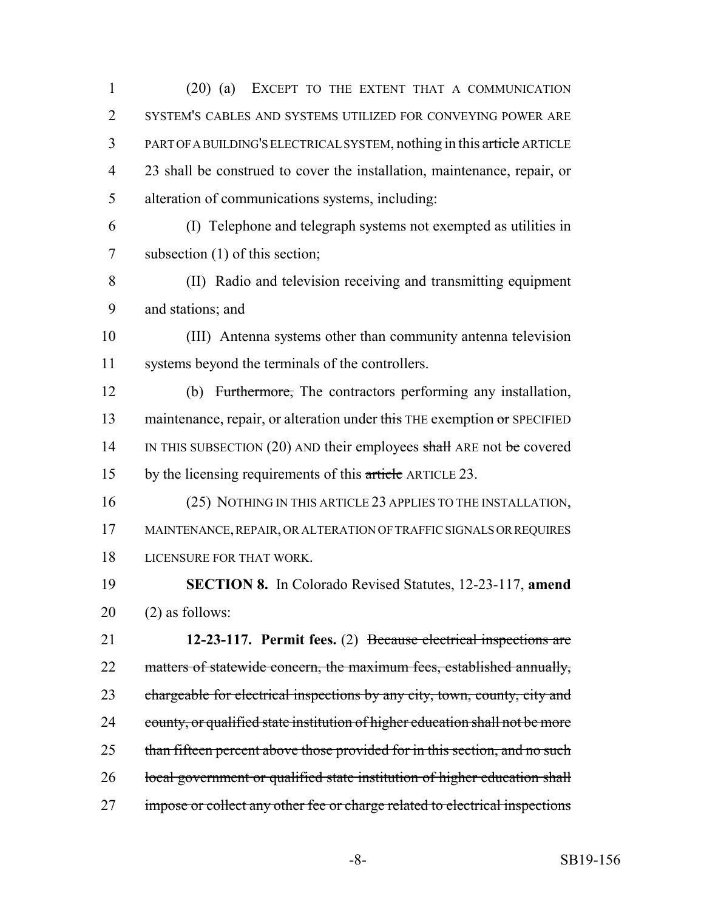(20) (a) EXCEPT TO THE EXTENT THAT A COMMUNICATION SYSTEM'S CABLES AND SYSTEMS UTILIZED FOR CONVEYING POWER ARE PART OF A BUILDING'S ELECTRICAL SYSTEM, nothing in this article ARTICLE 23 shall be construed to cover the installation, maintenance, repair, or alteration of communications systems, including:

 (I) Telephone and telegraph systems not exempted as utilities in subsection (1) of this section;

 (II) Radio and television receiving and transmitting equipment and stations; and

 (III) Antenna systems other than community antenna television systems beyond the terminals of the controllers.

 (b) Furthermore, The contractors performing any installation, 13 maintenance, repair, or alteration under this THE exemption or SPECIFIED 14 IN THIS SUBSECTION (20) AND their employees shall ARE not be covered 15 by the licensing requirements of this article ARTICLE 23.

 (25) NOTHING IN THIS ARTICLE 23 APPLIES TO THE INSTALLATION, MAINTENANCE, REPAIR, OR ALTERATION OF TRAFFIC SIGNALS OR REQUIRES LICENSURE FOR THAT WORK.

 **SECTION 8.** In Colorado Revised Statutes, 12-23-117, **amend** (2) as follows:

 **12-23-117. Permit fees.** (2) Because electrical inspections are 22 matters of statewide concern, the maximum fees, established annually, 23 chargeable for electrical inspections by any city, town, county, city and 24 county, or qualified state institution of higher education shall not be more 25 than fifteen percent above those provided for in this section, and no such 26 local government or qualified state institution of higher education shall impose or collect any other fee or charge related to electrical inspections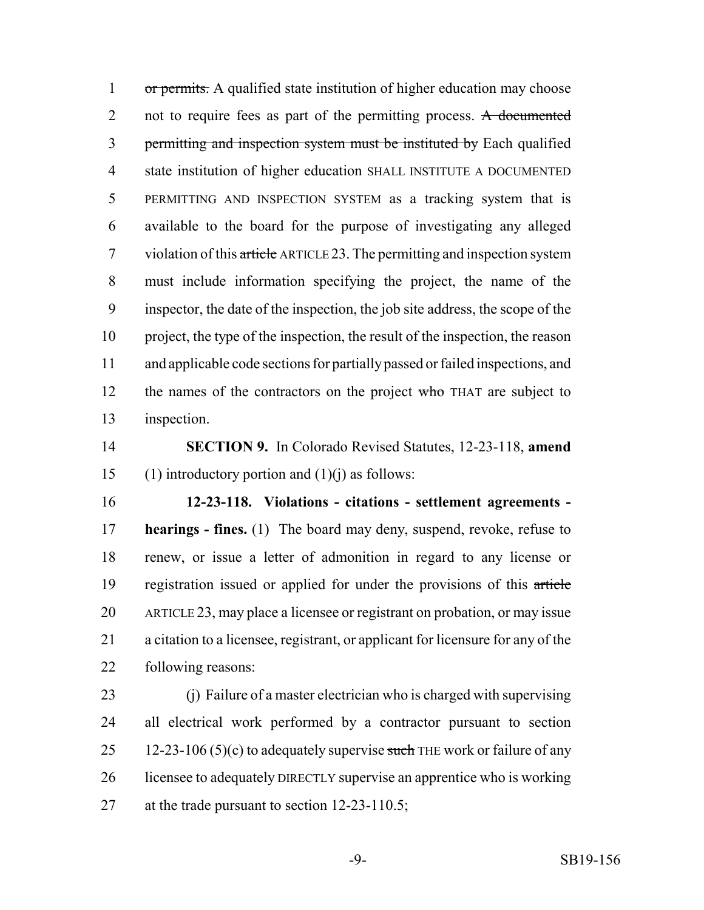1 or permits. A qualified state institution of higher education may choose 2 not to require fees as part of the permitting process. A documented permitting and inspection system must be instituted by Each qualified state institution of higher education SHALL INSTITUTE A DOCUMENTED PERMITTING AND INSPECTION SYSTEM as a tracking system that is available to the board for the purpose of investigating any alleged 7 violation of this article ARTICLE 23. The permitting and inspection system must include information specifying the project, the name of the inspector, the date of the inspection, the job site address, the scope of the project, the type of the inspection, the result of the inspection, the reason and applicable code sections for partially passed or failed inspections, and 12 the names of the contractors on the project who THAT are subject to inspection.

 **SECTION 9.** In Colorado Revised Statutes, 12-23-118, **amend** 15 (1) introductory portion and  $(1)(i)$  as follows:

 **12-23-118. Violations - citations - settlement agreements - hearings - fines.** (1) The board may deny, suspend, revoke, refuse to renew, or issue a letter of admonition in regard to any license or registration issued or applied for under the provisions of this article ARTICLE 23, may place a licensee or registrant on probation, or may issue a citation to a licensee, registrant, or applicant for licensure for any of the following reasons:

 (j) Failure of a master electrician who is charged with supervising all electrical work performed by a contractor pursuant to section 25 12-23-106 (5)(c) to adequately supervise such THE work or failure of any 26 licensee to adequately DIRECTLY supervise an apprentice who is working 27 at the trade pursuant to section 12-23-110.5;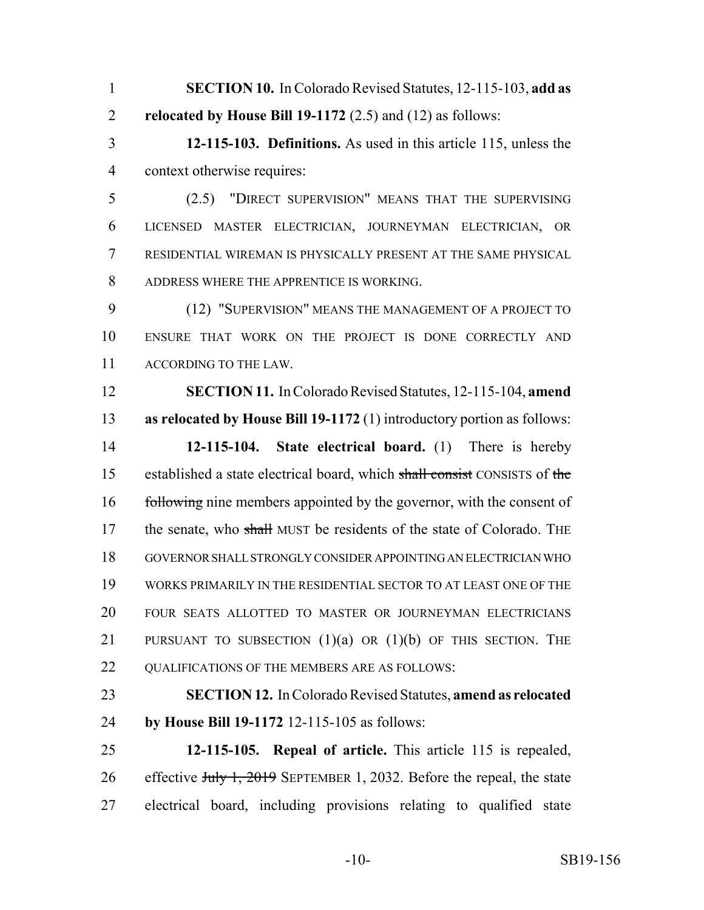- **SECTION 10.** In Colorado Revised Statutes, 12-115-103, **add as relocated by House Bill 19-1172** (2.5) and (12) as follows:
- **12-115-103. Definitions.** As used in this article 115, unless the context otherwise requires:
- (2.5) "DIRECT SUPERVISION" MEANS THAT THE SUPERVISING LICENSED MASTER ELECTRICIAN, JOURNEYMAN ELECTRICIAN, OR RESIDENTIAL WIREMAN IS PHYSICALLY PRESENT AT THE SAME PHYSICAL ADDRESS WHERE THE APPRENTICE IS WORKING.

 (12) "SUPERVISION" MEANS THE MANAGEMENT OF A PROJECT TO ENSURE THAT WORK ON THE PROJECT IS DONE CORRECTLY AND ACCORDING TO THE LAW.

 **SECTION 11.** In Colorado Revised Statutes, 12-115-104, **amend as relocated by House Bill 19-1172** (1) introductory portion as follows: **12-115-104. State electrical board.** (1) There is hereby 15 established a state electrical board, which shall consist CONSISTS of the 16 following nine members appointed by the governor, with the consent of 17 the senate, who shall MUST be residents of the state of Colorado. THE GOVERNOR SHALL STRONGLY CONSIDER APPOINTING AN ELECTRICIAN WHO WORKS PRIMARILY IN THE RESIDENTIAL SECTOR TO AT LEAST ONE OF THE FOUR SEATS ALLOTTED TO MASTER OR JOURNEYMAN ELECTRICIANS 21 PURSUANT TO SUBSECTION  $(1)(a)$  OR  $(1)(b)$  OF THIS SECTION. THE QUALIFICATIONS OF THE MEMBERS ARE AS FOLLOWS:

- **SECTION 12.** In Colorado Revised Statutes, **amend as relocated by House Bill 19-1172** 12-115-105 as follows:
- **12-115-105. Repeal of article.** This article 115 is repealed, 26 effective July 1, 2019 SEPTEMBER 1, 2032. Before the repeal, the state electrical board, including provisions relating to qualified state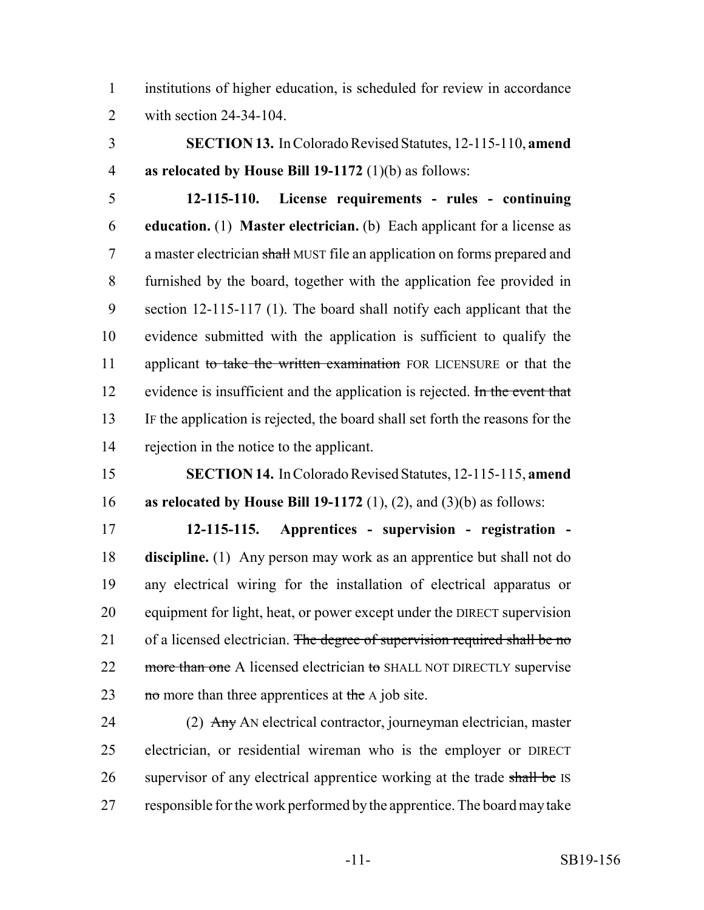institutions of higher education, is scheduled for review in accordance with section 24-34-104.

 **SECTION 13.** In Colorado Revised Statutes, 12-115-110, **amend as relocated by House Bill 19-1172** (1)(b) as follows:

 **12-115-110. License requirements - rules - continuing education.** (1) **Master electrician.** (b) Each applicant for a license as 7 a master electrician shall MUST file an application on forms prepared and furnished by the board, together with the application fee provided in section 12-115-117 (1). The board shall notify each applicant that the evidence submitted with the application is sufficient to qualify the 11 applicant to take the written examination FOR LICENSURE or that the 12 evidence is insufficient and the application is rejected. In the event that IF the application is rejected, the board shall set forth the reasons for the rejection in the notice to the applicant.

 **SECTION 14.** In Colorado Revised Statutes, 12-115-115, **amend as relocated by House Bill 19-1172** (1), (2), and (3)(b) as follows:

 **12-115-115. Apprentices - supervision - registration - discipline.** (1) Any person may work as an apprentice but shall not do any electrical wiring for the installation of electrical apparatus or equipment for light, heat, or power except under the DIRECT supervision 21 of a licensed electrician. The degree of supervision required shall be no 22 more than one A licensed electrician to SHALL NOT DIRECTLY supervise 23 no more than three apprentices at the  $\overline{A}$  job site.

24 (2) Any AN electrical contractor, journeyman electrician, master electrician, or residential wireman who is the employer or DIRECT 26 supervisor of any electrical apprentice working at the trade shall be IS responsible for the work performed by the apprentice. The board may take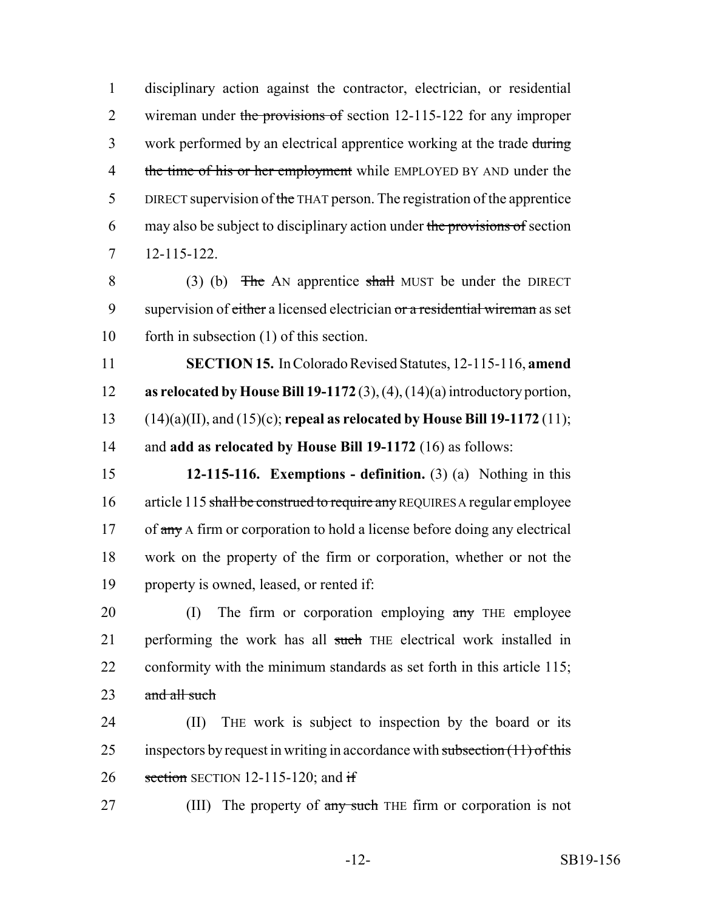1 disciplinary action against the contractor, electrician, or residential 2 wireman under the provisions of section 12-115-122 for any improper 3 work performed by an electrical apprentice working at the trade during 4 the time of his or her employment while EMPLOYED BY AND under the 5 DIRECT supervision of the THAT person. The registration of the apprentice 6 may also be subject to disciplinary action under the provisions of section 7 12-115-122.

8 (3) (b) The AN apprentice shall MUST be under the DIRECT 9 supervision of either a licensed electrician or a residential wireman as set 10 forth in subsection (1) of this section.

 **SECTION 15.** In Colorado Revised Statutes, 12-115-116, **amend as relocated by House Bill 19-1172** (3), (4), (14)(a) introductory portion, (14)(a)(II), and (15)(c); **repeal as relocated by House Bill 19-1172** (11); and **add as relocated by House Bill 19-1172** (16) as follows:

15 **12-115-116. Exemptions - definition.** (3) (a) Nothing in this 16 article 115 shall be construed to require any REQUIRES A regular employee 17 of any A firm or corporation to hold a license before doing any electrical 18 work on the property of the firm or corporation, whether or not the 19 property is owned, leased, or rented if:

20 (I) The firm or corporation employing any THE employee 21 performing the work has all such THE electrical work installed in 22 conformity with the minimum standards as set forth in this article 115;  $23$  and all such

24 (II) THE work is subject to inspection by the board or its 25 inspectors by request in writing in accordance with subsection  $(11)$  of this 26 section SECTION 12-115-120; and if

27 (III) The property of any such THE firm or corporation is not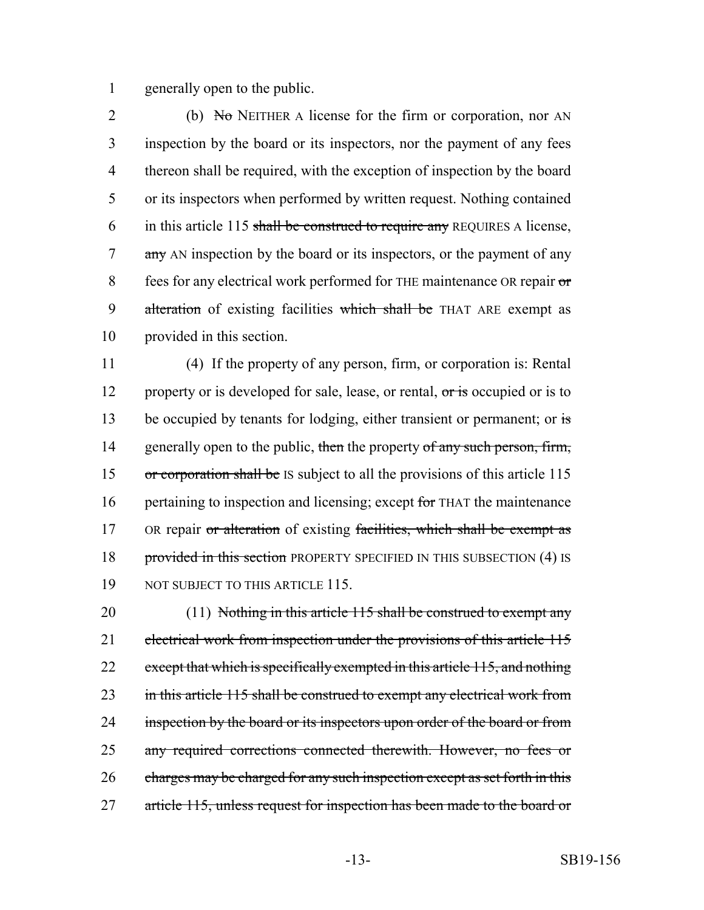1 generally open to the public.

2 (b)  $N_{\sigma}$  NEITHER A license for the firm or corporation, nor AN 3 inspection by the board or its inspectors, nor the payment of any fees 4 thereon shall be required, with the exception of inspection by the board 5 or its inspectors when performed by written request. Nothing contained 6 in this article 115 shall be construed to require any REQUIRES A license, 7 any AN inspection by the board or its inspectors, or the payment of any 8 fees for any electrical work performed for THE maintenance OR repair or 9 alteration of existing facilities which shall be THAT ARE exempt as 10 provided in this section.

11 (4) If the property of any person, firm, or corporation is: Rental 12 property or is developed for sale, lease, or rental, or is occupied or is to 13 be occupied by tenants for lodging, either transient or permanent; or is 14 generally open to the public, then the property of any such person, firm, 15 or corporation shall be IS subject to all the provisions of this article 115 16 pertaining to inspection and licensing; except for THAT the maintenance 17 OR repair or alteration of existing facilities, which shall be exempt as 18 provided in this section PROPERTY SPECIFIED IN THIS SUBSECTION (4) IS 19 NOT SUBJECT TO THIS ARTICLE 115.

20 (11) Nothing in this article 115 shall be construed to exempt any 21 electrical work from inspection under the provisions of this article 115 22 except that which is specifically exempted in this article 115, and nothing 23 in this article 115 shall be construed to exempt any electrical work from 24 inspection by the board or its inspectors upon order of the board or from 25 any required corrections connected therewith. However, no fees or 26 charges may be charged for any such inspection except as set forth in this 27 article 115, unless request for inspection has been made to the board or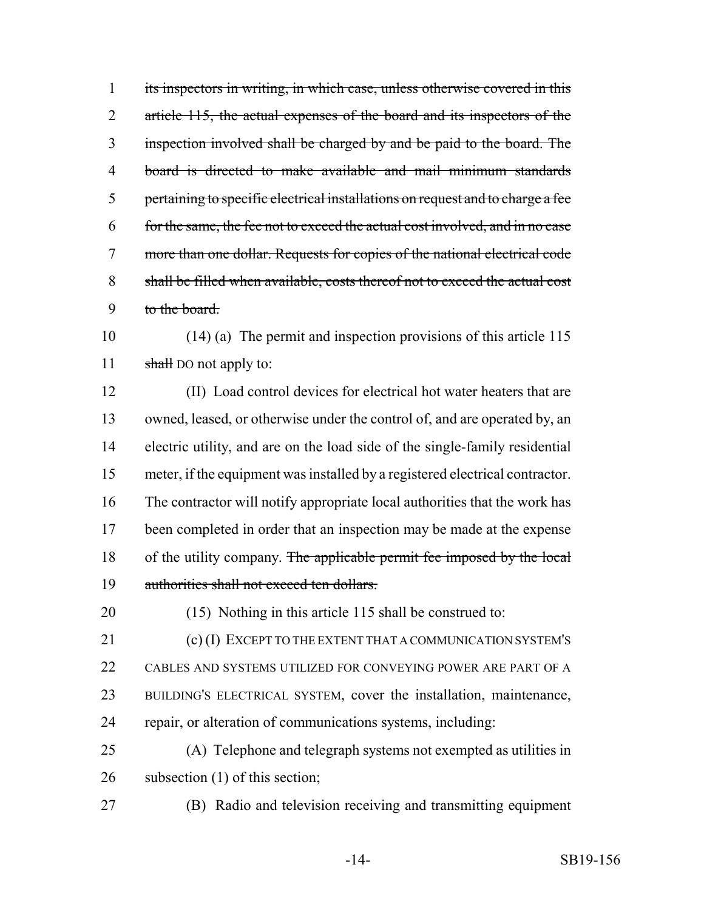its inspectors in writing, in which case, unless otherwise covered in this 2 article 115, the actual expenses of the board and its inspectors of the inspection involved shall be charged by and be paid to the board. The board is directed to make available and mail minimum standards pertaining to specific electrical installations on request and to charge a fee for the same, the fee not to exceed the actual cost involved, and in no case more than one dollar. Requests for copies of the national electrical code shall be filled when available, costs thereof not to exceed the actual cost to the board.

 (14) (a) The permit and inspection provisions of this article 115 11 shall bo not apply to:

 (II) Load control devices for electrical hot water heaters that are owned, leased, or otherwise under the control of, and are operated by, an electric utility, and are on the load side of the single-family residential meter, if the equipment was installed by a registered electrical contractor. The contractor will notify appropriate local authorities that the work has been completed in order that an inspection may be made at the expense 18 of the utility company. The applicable permit fee imposed by the local authorities shall not exceed ten dollars.

(15) Nothing in this article 115 shall be construed to:

21 (c) (I) EXCEPT TO THE EXTENT THAT A COMMUNICATION SYSTEM'S CABLES AND SYSTEMS UTILIZED FOR CONVEYING POWER ARE PART OF A BUILDING'S ELECTRICAL SYSTEM, cover the installation, maintenance, repair, or alteration of communications systems, including:

 (A) Telephone and telegraph systems not exempted as utilities in 26 subsection (1) of this section;

(B) Radio and television receiving and transmitting equipment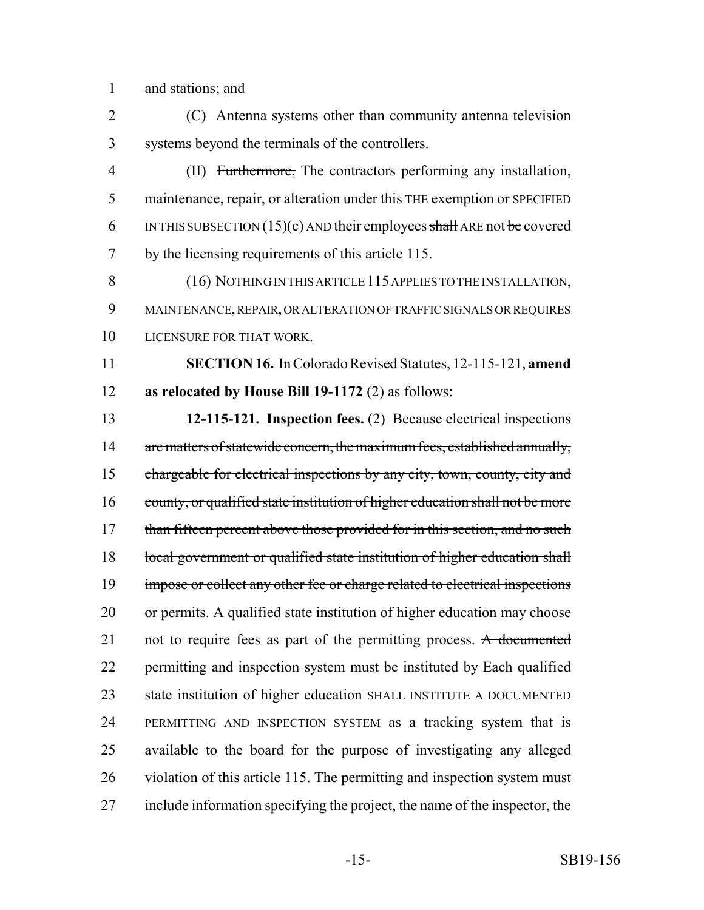1 and stations; and

2 (C) Antenna systems other than community antenna television 3 systems beyond the terminals of the controllers.

4 (II) Furthermore, The contractors performing any installation, 5 maintenance, repair, or alteration under this THE exemption  $\sigma$ r SPECIFIED 6 IN THIS SUBSECTION (15)(c) AND their employees shall ARE not be covered 7 by the licensing requirements of this article 115.

8 (16) NOTHING IN THIS ARTICLE 115 APPLIES TO THE INSTALLATION, 9 MAINTENANCE, REPAIR, OR ALTERATION OF TRAFFIC SIGNALS OR REQUIRES 10 LICENSURE FOR THAT WORK.

11 **SECTION 16.** In Colorado Revised Statutes, 12-115-121, **amend** 12 **as relocated by House Bill 19-1172** (2) as follows:

13 **12-115-121. Inspection fees.** (2) Because electrical inspections 14 are matters of statewide concern, the maximum fees, established annually, 15 chargeable for electrical inspections by any city, town, county, city and 16 county, or qualified state institution of higher education shall not be more 17 than fifteen percent above those provided for in this section, and no such 18 local government or qualified state institution of higher education shall 19 impose or collect any other fee or charge related to electrical inspections 20 or permits. A qualified state institution of higher education may choose 21 not to require fees as part of the permitting process. A documented 22 permitting and inspection system must be instituted by Each qualified 23 state institution of higher education SHALL INSTITUTE A DOCUMENTED 24 PERMITTING AND INSPECTION SYSTEM as a tracking system that is 25 available to the board for the purpose of investigating any alleged 26 violation of this article 115. The permitting and inspection system must 27 include information specifying the project, the name of the inspector, the